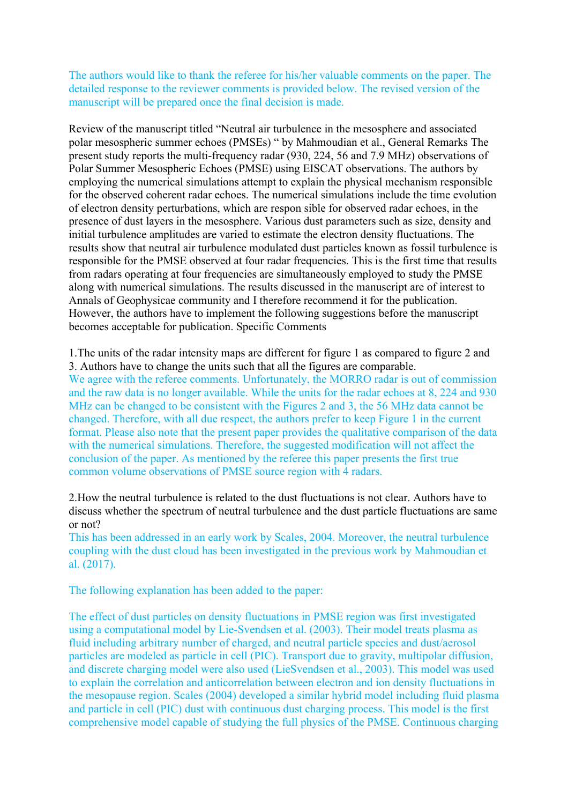The authors would like to thank the referee for his/her valuable comments on the paper. The detailed response to the reviewer comments is provided below. The revised version of the manuscript will be prepared once the final decision is made.

Review of the manuscript titled "Neutral air turbulence in the mesosphere and associated polar mesospheric summer echoes (PMSEs) " by Mahmoudian et al., General Remarks The present study reports the multi-frequency radar (930, 224, 56 and 7.9 MHz) observations of Polar Summer Mesospheric Echoes (PMSE) using EISCAT observations. The authors by employing the numerical simulations attempt to explain the physical mechanism responsible for the observed coherent radar echoes. The numerical simulations include the time evolution of electron density perturbations, which are respon sible for observed radar echoes, in the presence of dust layers in the mesosphere. Various dust parameters such as size, density and initial turbulence amplitudes are varied to estimate the electron density fluctuations. The results show that neutral air turbulence modulated dust particles known as fossil turbulence is responsible for the PMSE observed at four radar frequencies. This is the first time that results from radars operating at four frequencies are simultaneously employed to study the PMSE along with numerical simulations. The results discussed in the manuscript are of interest to Annals of Geophysicae community and I therefore recommend it for the publication. However, the authors have to implement the following suggestions before the manuscript becomes acceptable for publication. Specific Comments

1.The units of the radar intensity maps are different for figure 1 as compared to figure 2 and 3. Authors have to change the units such that all the figures are comparable. We agree with the referee comments. Unfortunately, the MORRO radar is out of commission and the raw data is no longer available. While the units for the radar echoes at 8, 224 and 930 MHz can be changed to be consistent with the Figures 2 and 3, the 56 MHz data cannot be changed. Therefore, with all due respect, the authors prefer to keep Figure 1 in the current format. Please also note that the present paper provides the qualitative comparison of the data with the numerical simulations. Therefore, the suggested modification will not affect the conclusion of the paper. As mentioned by the referee this paper presents the first true common volume observations of PMSE source region with 4 radars.

2.How the neutral turbulence is related to the dust fluctuations is not clear. Authors have to discuss whether the spectrum of neutral turbulence and the dust particle fluctuations are same or not?

This has been addressed in an early work by Scales, 2004. Moreover, the neutral turbulence coupling with the dust cloud has been investigated in the previous work by Mahmoudian et al. (2017).

The following explanation has been added to the paper:

The effect of dust particles on density fluctuations in PMSE region was first investigated using a computational model by Lie-Svendsen et al. (2003). Their model treats plasma as fluid including arbitrary number of charged, and neutral particle species and dust/aerosol particles are modeled as particle in cell (PIC). Transport due to gravity, multipolar diffusion, and discrete charging model were also used (LieSvendsen et al., 2003). This model was used to explain the correlation and anticorrelation between electron and ion density fluctuations in the mesopause region. Scales (2004) developed a similar hybrid model including fluid plasma and particle in cell (PIC) dust with continuous dust charging process. This model is the first comprehensive model capable of studying the full physics of the PMSE. Continuous charging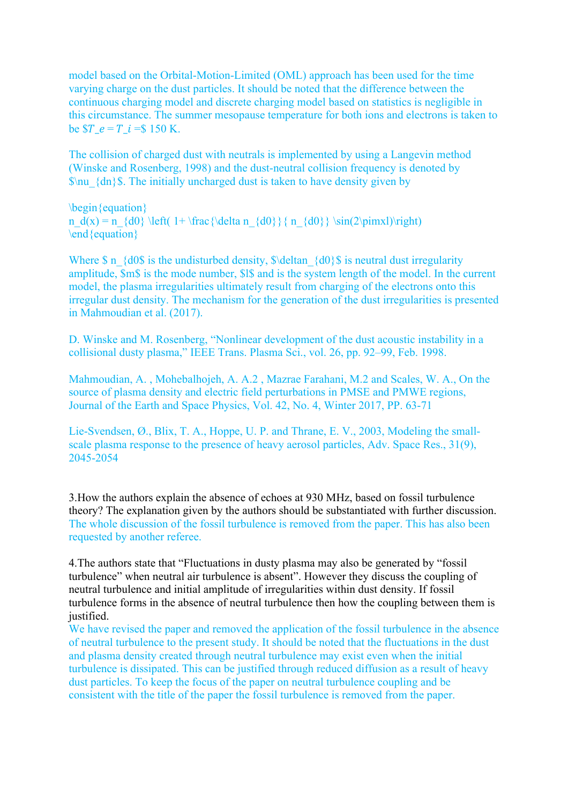model based on the Orbital-Motion-Limited (OML) approach has been used for the time varying charge on the dust particles. It should be noted that the difference between the continuous charging model and discrete charging model based on statistics is negligible in this circumstance. The summer mesopause temperature for both ions and electrons is taken to be  $T e = T i = $ 150 K.$ 

The collision of charged dust with neutrals is implemented by using a Langevin method (Winske and Rosenberg, 1998) and the dust-neutral collision frequency is denoted by  $\mathcal{S}$ u  $\{dn\}$ . The initially uncharged dust is taken to have density given by

\begin{equation} n  $d(x) = n_{d0} \left( 1 + \frac{\delta n_{d0}}{n_{d0}} \sin(2\pi x) \right)$ \end{equation}

Where  $\$ n {d0 $\$  is the undisturbed density,  $\delta$  deltan {d0} $\$  is neutral dust irregularity amplitude, \$m\$ is the mode number, \$l\$ and is the system length of the model. In the current model, the plasma irregularities ultimately result from charging of the electrons onto this irregular dust density. The mechanism for the generation of the dust irregularities is presented in Mahmoudian et al. (2017).

D. Winske and M. Rosenberg, "Nonlinear development of the dust acoustic instability in a collisional dusty plasma," IEEE Trans. Plasma Sci., vol. 26, pp. 92–99, Feb. 1998.

Mahmoudian, A. , Mohebalhojeh, A. A.2 , Mazrae Farahani, M.2 and Scales, W. A., On the source of plasma density and electric field perturbations in PMSE and PMWE regions, Journal of the Earth and Space Physics, Vol. 42, No. 4, Winter 2017, PP. 63-71

Lie-Svendsen, Ø., Blix, T. A., Hoppe, U. P. and Thrane, E. V., 2003, Modeling the smallscale plasma response to the presence of heavy aerosol particles, Adv. Space Res., 31(9), 2045-2054

3.How the authors explain the absence of echoes at 930 MHz, based on fossil turbulence theory? The explanation given by the authors should be substantiated with further discussion. The whole discussion of the fossil turbulence is removed from the paper. This has also been requested by another referee.

4.The authors state that "Fluctuations in dusty plasma may also be generated by "fossil turbulence" when neutral air turbulence is absent". However they discuss the coupling of neutral turbulence and initial amplitude of irregularities within dust density. If fossil turbulence forms in the absence of neutral turbulence then how the coupling between them is justified.

We have revised the paper and removed the application of the fossil turbulence in the absence of neutral turbulence to the present study. It should be noted that the fluctuations in the dust and plasma density created through neutral turbulence may exist even when the initial turbulence is dissipated. This can be justified through reduced diffusion as a result of heavy dust particles. To keep the focus of the paper on neutral turbulence coupling and be consistent with the title of the paper the fossil turbulence is removed from the paper.